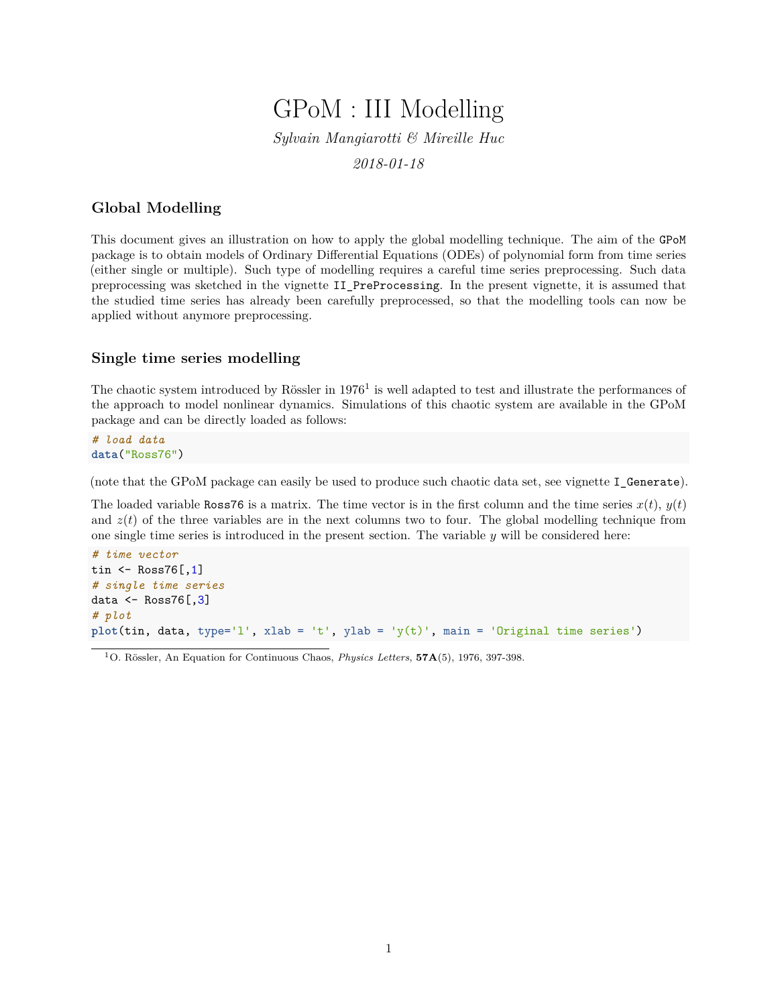# GPoM : III Modelling

*Sylvain Mangiarotti & Mireille Huc*

*2018-01-18*

#### **Global Modelling**

This document gives an illustration on how to apply the global modelling technique. The aim of the GPoM package is to obtain models of Ordinary Differential Equations (ODEs) of polynomial form from time series (either single or multiple). Such type of modelling requires a careful time series preprocessing. Such data preprocessing was sketched in the vignette II\_PreProcessing. In the present vignette, it is assumed that the studied time series has already been carefully preprocessed, so that the modelling tools can now be applied without anymore preprocessing.

#### **Single time series modelling**

The chaotic system introduced by Rössler in  $1976<sup>1</sup>$  $1976<sup>1</sup>$  is well adapted to test and illustrate the performances of the approach to model nonlinear dynamics. Simulations of this chaotic system are available in the GPoM package and can be directly loaded as follows:

*# load data* **data**("Ross76")

(note that the GPoM package can easily be used to produce such chaotic data set, see vignette I\_Generate).

The loaded variable Ross76 is a matrix. The time vector is in the first column and the time series  $x(t)$ ,  $y(t)$ and  $z(t)$  of the three variables are in the next columns two to four. The global modelling technique from one single time series is introduced in the present section. The variable *y* will be considered here:

```
# time vector
tin \leq Ross76[,1]
# single time series
data \leq Ross76[,3]
# plot
plot(tin, data, type='l', xlab = 't', ylab = 'y(t)', main = 'Original time series')
```
<span id="page-0-0"></span><sup>1</sup>O. Rössler, An Equation for Continuous Chaos, *Physics Letters*, **57A**(5), 1976, 397-398.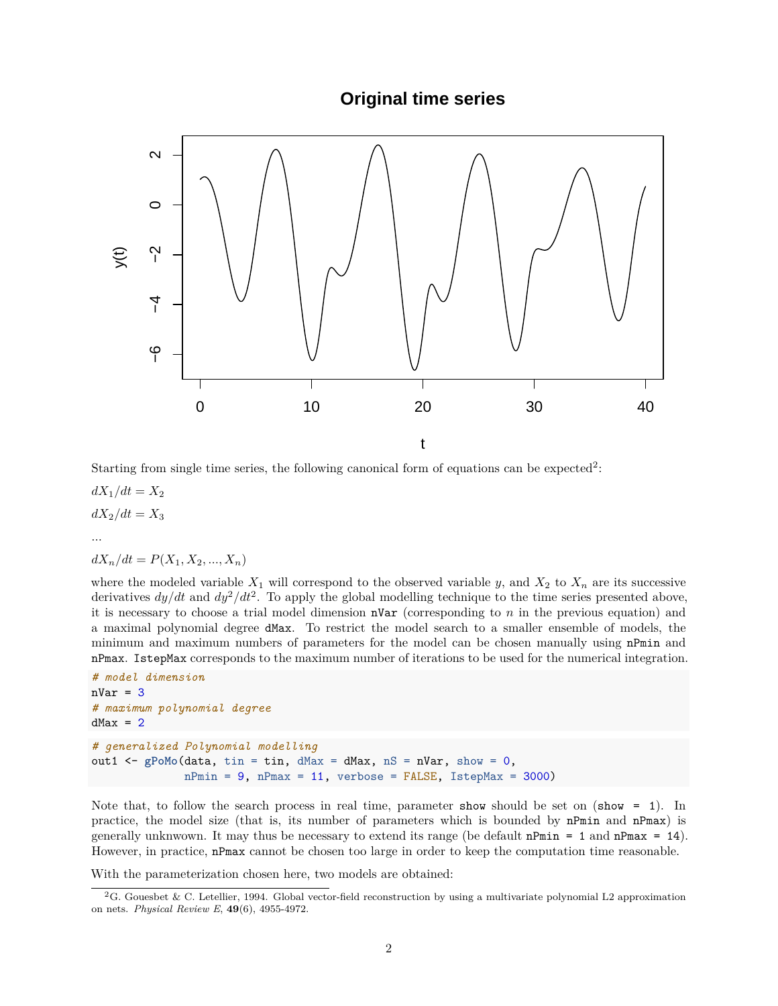## **Original time series**



Starting from single time series, the following canonical form of equations can be expected<sup>[2](#page-1-0)</sup>:

 $dX_1/dt = X_2$  $dX_2/dt = X_3$ 

*...*

$$
dX_n/dt = P(X_1, X_2, \ldots, X_n)
$$

where the modeled variable  $X_1$  will correspond to the observed variable  $y$ , and  $X_2$  to  $X_n$  are its successive derivatives  $dy/dt$  and  $dy^2/dt^2$ . To apply the global modelling technique to the time series presented above, it is necessary to choose a trial model dimension nVar (corresponding to *n* in the previous equation) and a maximal polynomial degree dMax. To restrict the model search to a smaller ensemble of models, the minimum and maximum numbers of parameters for the model can be chosen manually using nPmin and nPmax. IstepMax corresponds to the maximum number of iterations to be used for the numerical integration.

```
# model dimension
nVar = 3# maximum polynomial degree
dMax = 2# generalized Polynomial modelling
out1 <- gPoMo(data, tin = tin, dMax = dMax, nS = nVar, show = 0,
              nPmin = 9, nPmax = 11, verbose = FALSE, IstepMax = 3000)
```
Note that, to follow the search process in real time, parameter show should be set on  $(\text{show} = 1)$ . In practice, the model size (that is, its number of parameters which is bounded by nPmin and nPmax) is generally unknwown. It may thus be necessary to extend its range (be default nPmin = 1 and nPmax = 14). However, in practice, nPmax cannot be chosen too large in order to keep the computation time reasonable.

With the parameterization chosen here, two models are obtained:

<span id="page-1-0"></span><sup>2</sup>G. Gouesbet & C. Letellier, 1994. Global vector-field reconstruction by using a multivariate polynomial L2 approximation on nets. *Physical Review E*, **49**(6), 4955-4972.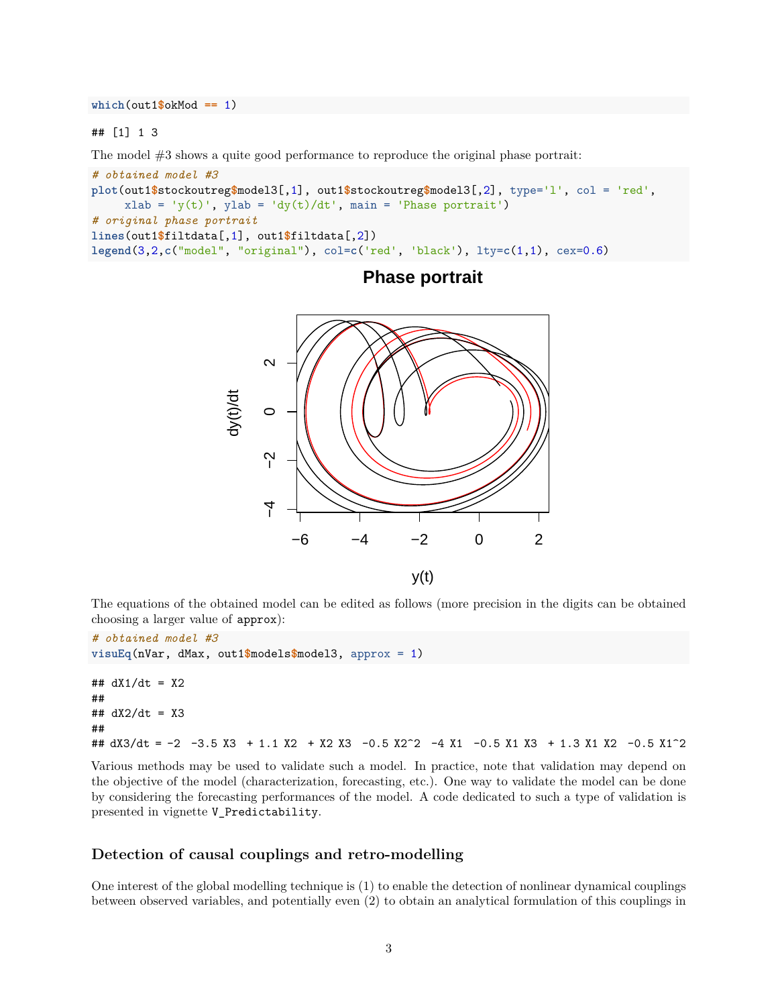#### **which**(out1**\$**okMod **==** 1)

#### ## [1] 1 3

The model #3 shows a quite good performance to reproduce the original phase portrait:

```
# obtained model #3
plot(out1$stockoutreg$model3[,1], out1$stockoutreg$model3[,2], type='l', col = 'red',
     xlab = 'y(t)', ylab = 'dy(t)/dt', main = 'Phase portrait')
# original phase portrait
lines(out1$filtdata[,1], out1$filtdata[,2])
legend(3,2,c("model", "original"), col=c('red', 'black'), lty=c(1,1), cex=0.6)
```
# $\mathbf{\Omega}$ dy(t)/dt  $\circ$  $\gamma$ −4<br>−1 7 −6 −4 −2 0 2

**Phase portrait**

y(t)

The equations of the obtained model can be edited as follows (more precision in the digits can be obtained choosing a larger value of approx):

```
# obtained model #3
visuEq(nVar, dMax, out1$models$model3, approx = 1)
## dX1/dt = X2
##
## dX2/dt = X3
##
## dX3/dt = -2 -3.5 X3 + 1.1 X2 + X2 X3 -0.5 X2^2 -4 X1 -0.5 X1 X3 + 1.3 X1 X2 -0.5 X1^2
```
Various methods may be used to validate such a model. In practice, note that validation may depend on the objective of the model (characterization, forecasting, etc.). One way to validate the model can be done by considering the forecasting performances of the model. A code dedicated to such a type of validation is presented in vignette V\_Predictability.

#### **Detection of causal couplings and retro-modelling**

One interest of the global modelling technique is (1) to enable the detection of nonlinear dynamical couplings between observed variables, and potentially even (2) to obtain an analytical formulation of this couplings in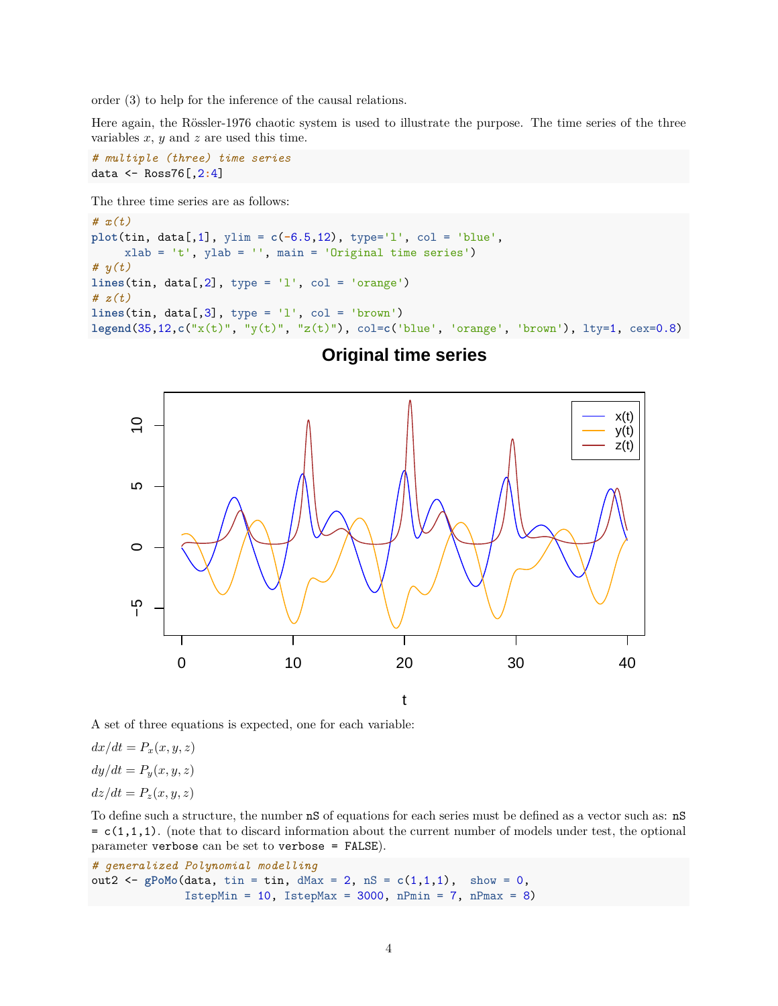order (3) to help for the inference of the causal relations.

Here again, the Rössler-1976 chaotic system is used to illustrate the purpose. The time series of the three variables *x*, *y* and *z* are used this time.

*# multiple (three) time series* data <- Ross76[,2**:**4]

The three time series are as follows:

```
# x(t)
plot(tin, data[,1], ylim = c(-6.5,12), type='l', col = 'blue',
     xlab = 't', ylab = ', main = 'Original time series')
# y(t)
lines(tin, data[, 2], type = 'l', col = 'orange')# z(t)
lines(tin, data[,3], type = 'l', col = 'brown')
legend(35,12,c("x(t)", "y(t)", "z(t)"), col=c('blue', 'orange', 'brown'), lty=1, cex=0.8)
```
## **Original time series**



A set of three equations is expected, one for each variable:

 $dx/dt = P_x(x, y, z)$  $dy/dt = P_y(x, y, z)$ 

 $dz/dt = P_z(x, y, z)$ 

To define such a structure, the number nS of equations for each series must be defined as a vector such as: nS  $= c(1,1,1)$ . (note that to discard information about the current number of models under test, the optional parameter verbose can be set to verbose = FALSE).

```
# generalized Polynomial modelling
out2 <- gPoMo(data, tin = tin, dMax = 2, ns = c(1,1,1), show = 0,IstepMin = 10, IstepMax = 3000, nPmin = 7, nPmax = 8)
```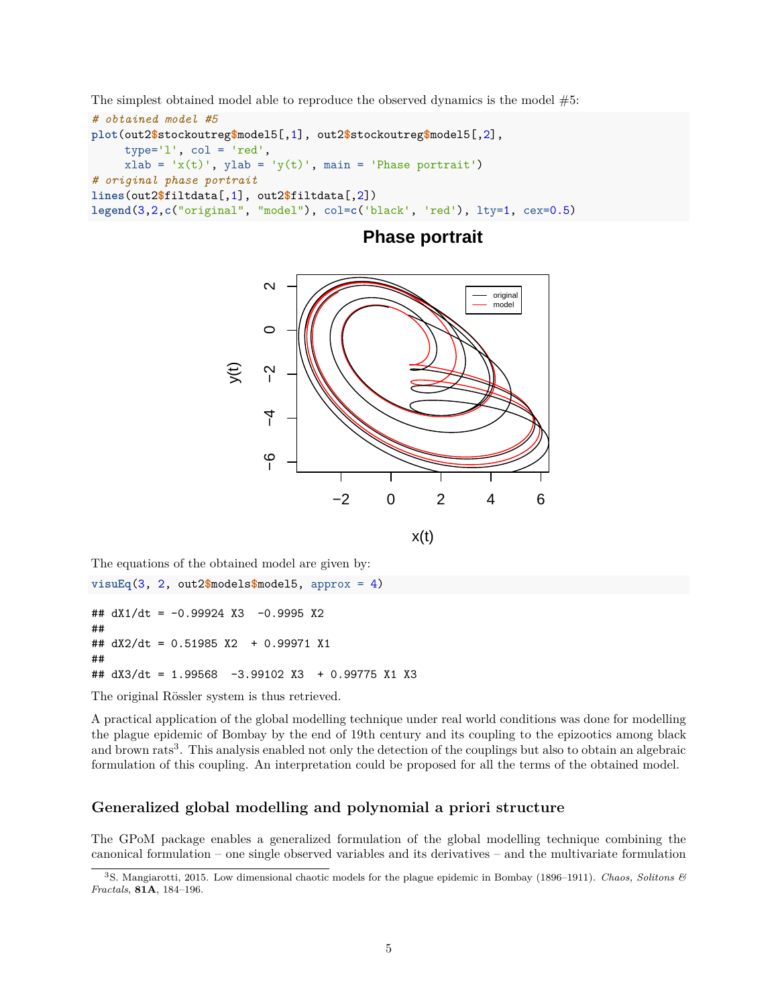The simplest obtained model able to reproduce the observed dynamics is the model #5:

```
# obtained model #5
plot(out2$stockoutreg$model5[,1], out2$stockoutreg$model5[,2],
     type='l', col = 'red',xlab = 'x(t)', ylab = 'y(t)', main = 'Phase portrait')
# original phase portrait
lines(out2$filtdata[,1], out2$filtdata[,2])
legend(3,2,c("original", "model"), col=c('black', 'red'), lty=1, cex=0.5)
```
#### **Phase portrait**



The equations of the obtained model are given by:

**visuEq**(3, 2, out2**\$**models**\$**model5, approx = 4) ##  $dX1/dt = -0.99924 X3 -0.9995 X2$ ## ## dX2/dt = 0.51985 X2 + 0.99971 X1 ## ## dX3/dt = 1.99568 -3.99102 X3 + 0.99775 X1 X3

The original Rössler system is thus retrieved.

A practical application of the global modelling technique under real world conditions was done for modelling the plague epidemic of Bombay by the end of 19th century and its coupling to the epizootics among black and brown rats<sup>[3](#page-4-0)</sup>. This analysis enabled not only the detection of the couplings but also to obtain an algebraic formulation of this coupling. An interpretation could be proposed for all the terms of the obtained model.

#### **Generalized global modelling and polynomial a priori structure**

The GPoM package enables a generalized formulation of the global modelling technique combining the canonical formulation – one single observed variables and its derivatives – and the multivariate formulation

<span id="page-4-0"></span><sup>3</sup>S. Mangiarotti, 2015. Low dimensional chaotic models for the plague epidemic in Bombay (1896–1911). *Chaos, Solitons & Fractals*, **81A**, 184–196.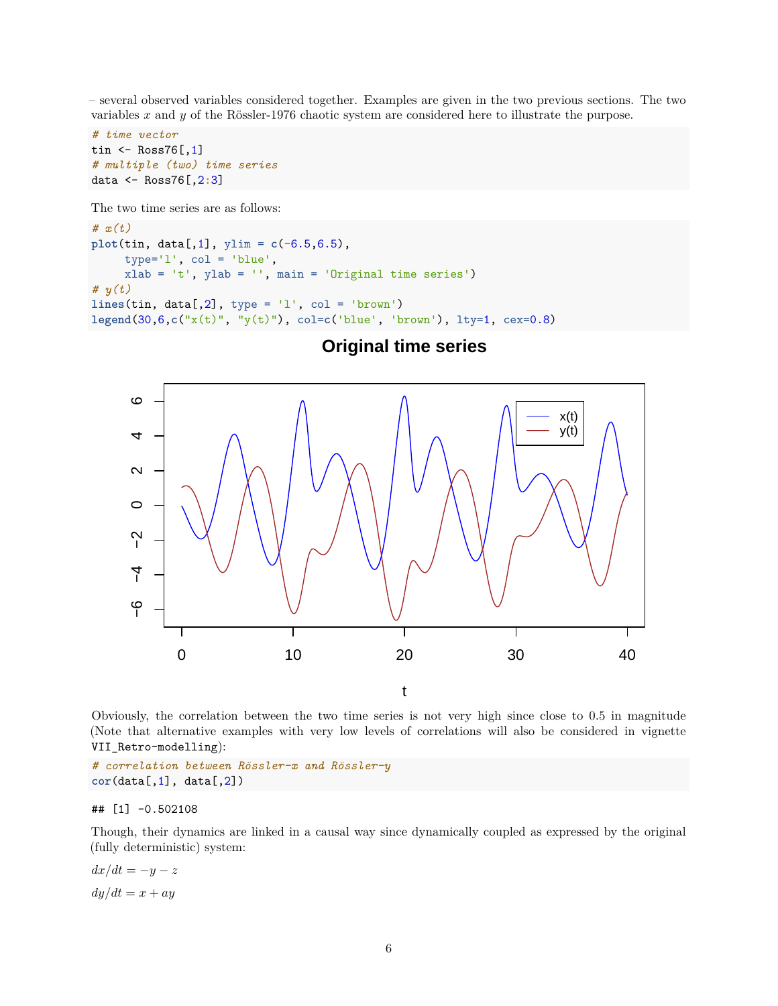– several observed variables considered together. Examples are given in the two previous sections. The two variables *x* and *y* of the Rössler-1976 chaotic system are considered here to illustrate the purpose.

*# time vector* tin  $\leq$  Ross76[,1] *# multiple (two) time series* data <- Ross76[,2**:**3]

The two time series are as follows:

```
# x(t)
plot(tin, data[,1], ylim = c(-6.5,6.5),
     type='l', col = 'blue',
     xlab = 't', ylab = ', main = 'Original time series')
# y(t)
lines(tin, data[,2], type = 'l', col = 'brown')
legend(30,6,c("x(t)", "y(t)"), col=c('blue', 'brown'), lty=1, cex=0.8)
```
## **Original time series**



Obviously, the correlation between the two time series is not very high since close to 0.5 in magnitude (Note that alternative examples with very low levels of correlations will also be considered in vignette VII\_Retro-modelling):

*# correlation between Rössler-x and Rössler-y* **cor**(data[,1], data[,2])

#### ## [1] -0.502108

Though, their dynamics are linked in a causal way since dynamically coupled as expressed by the original (fully deterministic) system:

 $dx/dt = -y - z$  $dy/dt = x + ay$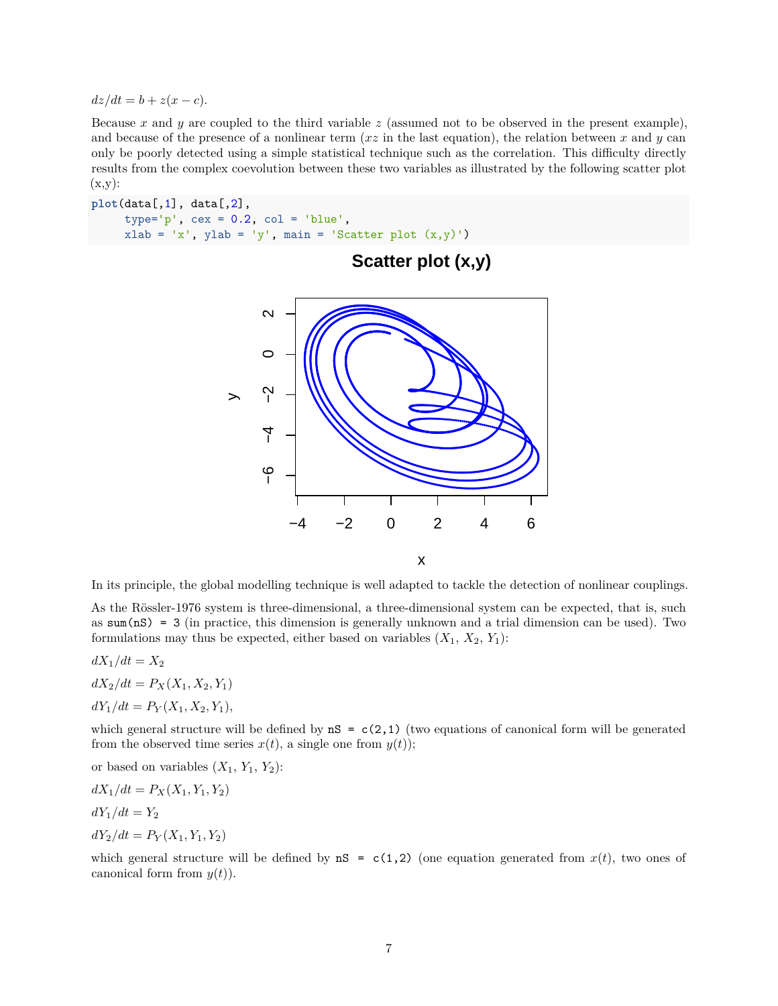$dz/dt = b + z(x - c).$ 

Because *x* and *y* are coupled to the third variable *z* (assumed not to be observed in the present example), and because of the presence of a nonlinear term  $(xz)$  in the last equation), the relation between x and y can only be poorly detected using a simple statistical technique such as the correlation. This difficulty directly results from the complex coevolution between these two variables as illustrated by the following scatter plot  $(x,y)$ :

**plot**(data[,1], data[,2],  $type='p'$ ,  $cex = 0.2$ ,  $col = 'blue'$ , xlab =  $'x'$ , ylab =  $'y'$ , main = 'Scatter plot  $(x,y)'$ )



**Scatter plot (x,y)**

In its principle, the global modelling technique is well adapted to tackle the detection of nonlinear couplings.

As the Rössler-1976 system is three-dimensional, a three-dimensional system can be expected, that is, such as  $sum(nS) = 3$  (in practice, this dimension is generally unknown and a trial dimension can be used). Two formulations may thus be expected, either based on variables  $(X_1, X_2, Y_1)$ :

$$
dX_1/dt = X_2
$$

 $dX_2/dt = P_X(X_1, X_2, Y_1)$ 

$$
dY_1/dt = P_Y(X_1, X_2, Y_1),
$$

which general structure will be defined by  $nS = c(2,1)$  (two equations of canonical form will be generated from the observed time series  $x(t)$ , a single one from  $y(t)$ ;

or based on variables  $(X_1, Y_1, Y_2)$ :

$$
dX_1/dt = P_X(X_1, Y_1, Y_2)
$$
  
\n
$$
dY_1/dt = Y_2
$$
  
\n
$$
dY_2/dt = P_Y(X_1, Y_1, Y_2)
$$

which general structure will be defined by  $nS = c(1,2)$  (one equation generated from  $x(t)$ , two ones of canonical form from  $y(t)$ ).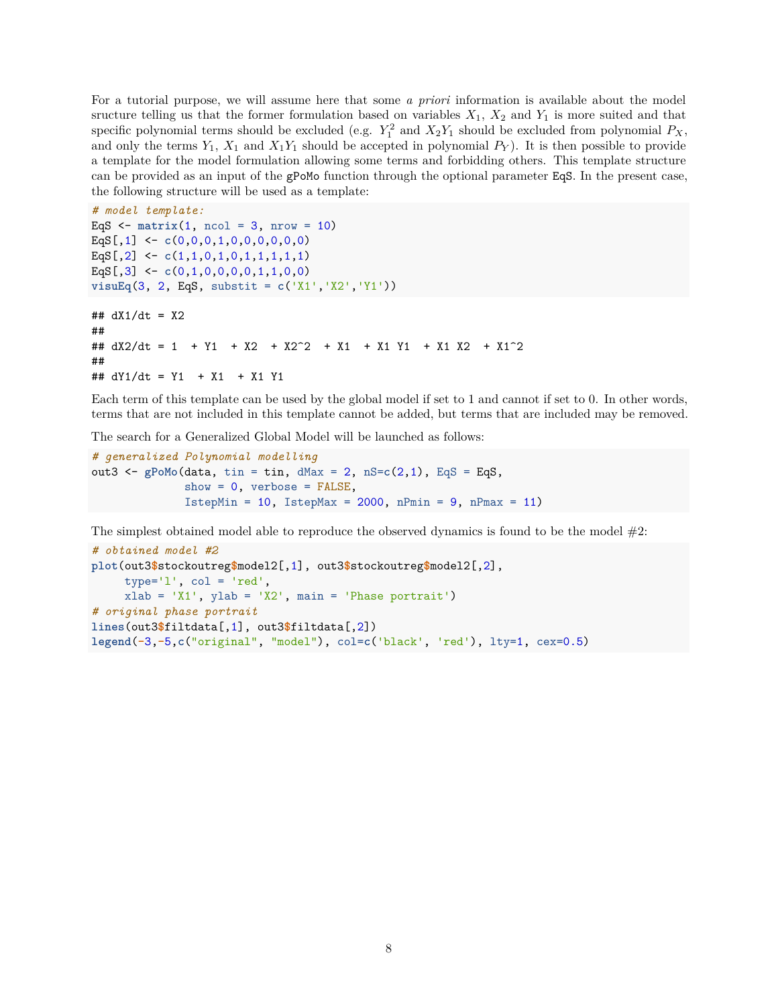For a tutorial purpose, we will assume here that some *a priori* information is available about the model sructure telling us that the former formulation based on variables  $X_1$ ,  $X_2$  and  $Y_1$  is more suited and that specific polynomial terms should be excluded (e.g.  $Y_1^2$  and  $X_2Y_1$  should be excluded from polynomial  $P_X$ , and only the terms  $Y_1$ ,  $X_1$  and  $X_1Y_1$  should be accepted in polynomial  $P_Y$ ). It is then possible to provide a template for the model formulation allowing some terms and forbidding others. This template structure can be provided as an input of the gPoMo function through the optional parameter EqS. In the present case, the following structure will be used as a template:

```
# model template:
EqS \leftarrow matrix(1, \text{ ncol} = 3, \text{ nrow} = 10)EqS[,1] <- c(0,0,0,1,0,0,0,0,0,0)
EqS[,2] <- c(1,1,0,1,0,1,1,1,1,1)
EqS[,3] <- c(0,1,0,0,0,0,1,1,0,0)
visuEq(3, 2, EqS, substit = c('X1','X2','Y1'))
## dX1/dt = X2##
## dX2/dt = 1 + Y1 + X2 + X2^2 + X1 + X1 Y1 + X1 X2 + X1^2
##
## dY1/dt = Y1 + X1 + X1 Y1
```
Each term of this template can be used by the global model if set to 1 and cannot if set to 0. In other words, terms that are not included in this template cannot be added, but terms that are included may be removed.

The search for a Generalized Global Model will be launched as follows:

```
# generalized Polynomial modelling
out3 <- gPoMo(data, tin = tin, dMax = 2, nS=c(2,1), EqS = EqS,
              show = 0, verbose = FALSE,
              IstepMin = 10, IstepMax = 2000, nPmin = 9, nPmax = 11)
```
The simplest obtained model able to reproduce the observed dynamics is found to be the model #2:

```
# obtained model #2
plot(out3$stockoutreg$model2[,1], out3$stockoutreg$model2[,2],
     type='l', col = 'red',xlab = 'X1', ylab = 'X2', main = 'Phase portrait')
# original phase portrait
lines(out3$filtdata[,1], out3$filtdata[,2])
legend(-3,-5,c("original", "model"), col=c('black', 'red'), lty=1, cex=0.5)
```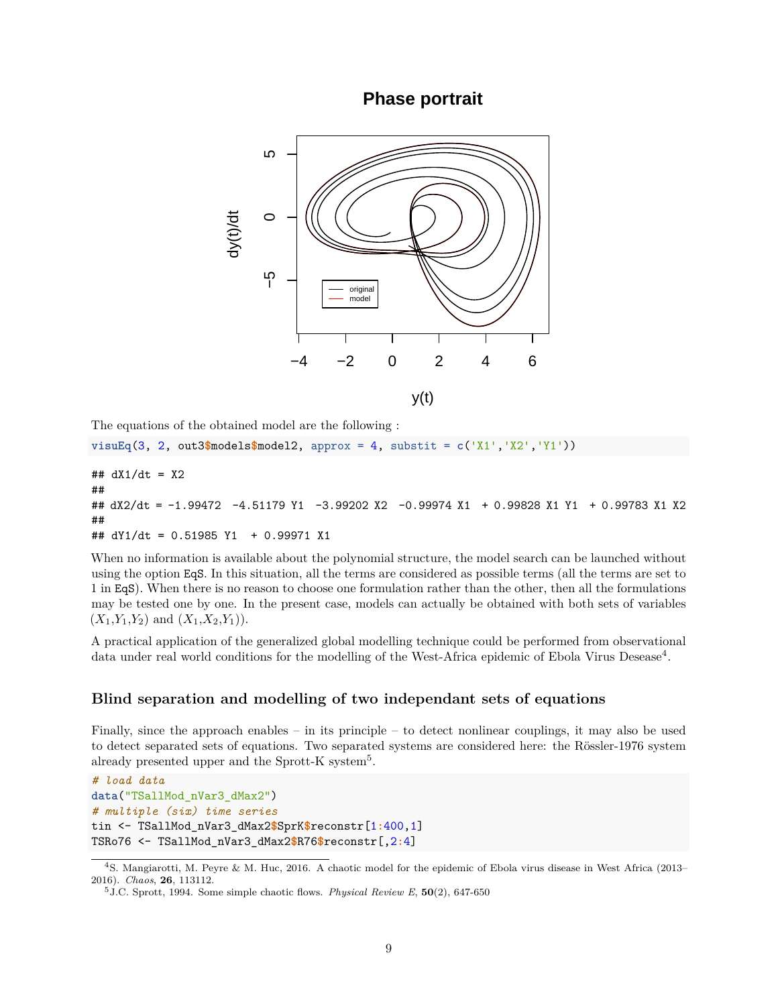## **Phase portrait**



The equations of the obtained model are the following :

**visuEq**(3, 2, out3**\$**models**\$**model2, approx = 4, substit = **c**('X1','X2','Y1'))

```
## dX1/dt = X2
##
## dX2/dt = -1.99472 -4.51179 Y1 -3.99202 X2 -0.99974 X1 + 0.99828 X1 Y1 + 0.99783 X1 X2
##
## dY1/dt = 0.51985 Y1 + 0.99971 X1
```
When no information is available about the polynomial structure, the model search can be launched without using the option EqS. In this situation, all the terms are considered as possible terms (all the terms are set to 1 in EqS). When there is no reason to choose one formulation rather than the other, then all the formulations may be tested one by one. In the present case, models can actually be obtained with both sets of variables  $(X_1,Y_1,Y_2)$  and  $(X_1,X_2,Y_1)$ .

A practical application of the generalized global modelling technique could be performed from observational data under real world conditions for the modelling of the West-Africa epidemic of Ebola Virus Desease<sup>[4](#page-8-0)</sup>.

#### **Blind separation and modelling of two independant sets of equations**

Finally, since the approach enables – in its principle – to detect nonlinear couplings, it may also be used to detect separated sets of equations. Two separated systems are considered here: the Rössler-1976 system already presented upper and the Sprott-K system<sup>[5](#page-8-1)</sup>.

```
# load data
data("TSallMod_nVar3_dMax2")
# multiple (six) time series
tin <- TSallMod_nVar3_dMax2$SprK$reconstr[1:400,1]
TSRo76 <- TSallMod_nVar3_dMax2$R76$reconstr[,2:4]
```
<span id="page-8-0"></span><sup>4</sup>S. Mangiarotti, M. Peyre & M. Huc, 2016. A chaotic model for the epidemic of Ebola virus disease in West Africa (2013– 2016). *Chaos*, **26**, 113112.

<span id="page-8-1"></span><sup>5</sup>J.C. Sprott, 1994. Some simple chaotic flows. *Physical Review E*, **50**(2), 647-650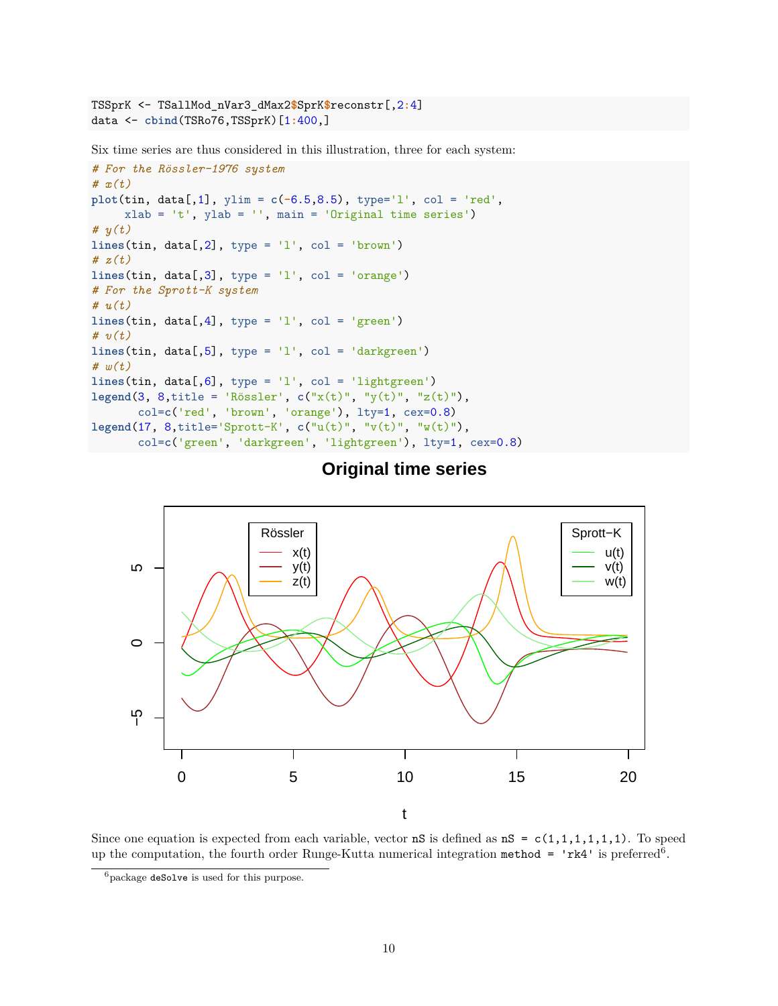```
TSSprK <- TSallMod_nVar3_dMax2$SprK$reconstr[,2:4]
data <- cbind(TSRo76,TSSprK)[1:400,]
```
Six time series are thus considered in this illustration, three for each system:

```
# For the Rössler-1976 system
# x(t)
plot(tin, data[, 1], ylim = c(-6.5, 8.5), type='l', col = 'red',xlab = 't', ylab = ', main = 'Original time series')
# y(t)
lines(tin, data[,2], type = 'l', col = 'brown')
# z(t)
lines(tin, data[, 3], type = 'l', col = 'orange')# For the Sprott-K system
# u(t)
lines(tin, data[, 4], type = 'l', col = 'green')# v(t)
lines(tin, data[, 5], type = 'l', col = 'darkgreen')# w(t)
lines(tin, data[,6], type = 'l', col = 'lightgreen')
legend(3, 8,title = 'Rössler', c("x(t)", "y(t)", "z(t)"),
       col=c('red', 'brown', 'orange'), lty=1, cex=0.8)
legend(17, 8,title='Sprott-K', c("u(t)", "v(t)", "w(t)"),
       col=c('green', 'darkgreen', 'lightgreen'), lty=1, cex=0.8)
```
**Original time series**



Since one equation is expected from each variable, vector  $nS$  is defined as  $nS = c(1,1,1,1,1,1)$ . To speed up the computation, the fourth order Runge-Kutta numerical integration method = 'rk4' is preferred<sup>[6](#page-9-0)</sup>.

<span id="page-9-0"></span> $6$ package deSolve is used for this purpose.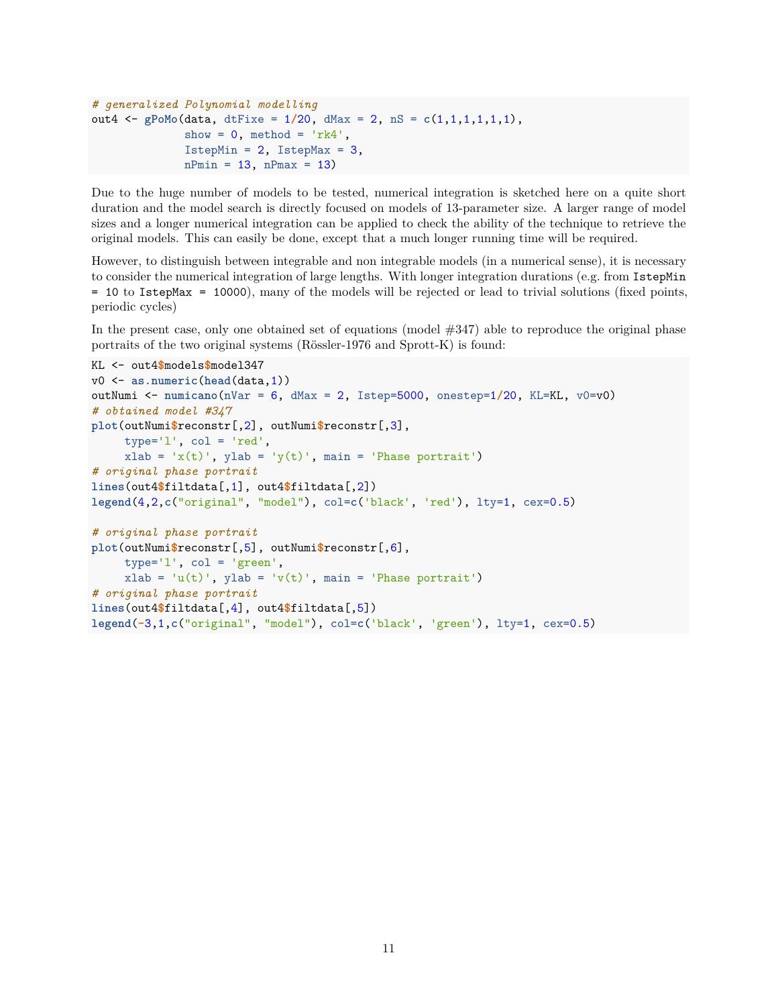```
# generalized Polynomial modelling
out4 <- gPoMo(data, dtFixe = 1/20, dMax = 2, nS = c(1,1,1,1,1,1),
              show = 0, method = rk4',
              IstepMin = 2, IstepMax = 3,
              nPmin = 13, nPmax = 13)
```
Due to the huge number of models to be tested, numerical integration is sketched here on a quite short duration and the model search is directly focused on models of 13-parameter size. A larger range of model sizes and a longer numerical integration can be applied to check the ability of the technique to retrieve the original models. This can easily be done, except that a much longer running time will be required.

However, to distinguish between integrable and non integrable models (in a numerical sense), it is necessary to consider the numerical integration of large lengths. With longer integration durations (e.g. from IstepMin = 10 to IstepMax = 10000), many of the models will be rejected or lead to trivial solutions (fixed points, periodic cycles)

In the present case, only one obtained set of equations (model  $#347$ ) able to reproduce the original phase portraits of the two original systems (Rössler-1976 and Sprott-K) is found:

```
KL <- out4$models$model347
v0 <- as.numeric(head(data,1))
outNumi <- numicano(nVar = 6, dMax = 2, Istep=5000, onestep=1/20, KL=KL, v0=v0)
# obtained model #347
plot(outNumi$reconstr[,2], outNumi$reconstr[,3],
     type='l', col = 'red',xlab = 'x(t)', ylab = 'y(t)', main = 'Phase portrait')
# original phase portrait
lines(out4$filtdata[,1], out4$filtdata[,2])
legend(4,2,c("original", "model"), col=c('black', 'red'), lty=1, cex=0.5)
# original phase portrait
plot(outNumi$reconstr[,5], outNumi$reconstr[,6],
     type='1', col = 'green',xlab = 'u(t)', ylab = 'v(t)', main = 'Phase portrait')
# original phase portrait
lines(out4$filtdata[,4], out4$filtdata[,5])
legend(-3,1,c("original", "model"), col=c('black', 'green'), lty=1, cex=0.5)
```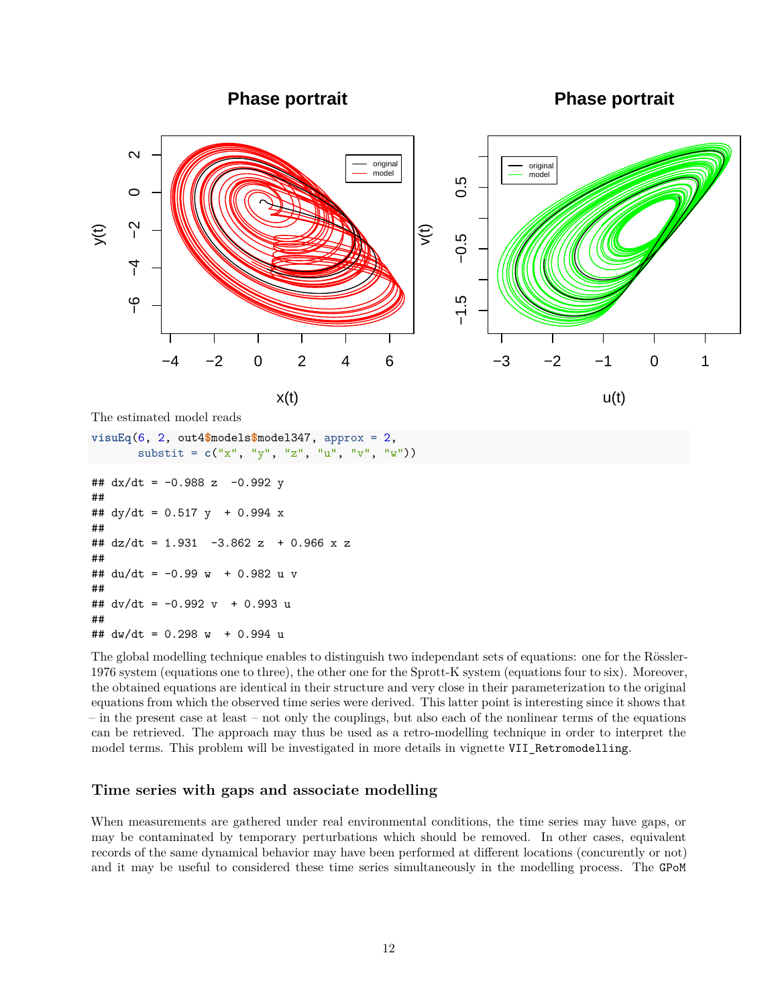

##  $dv/dt = -0.992 v + 0.993 u$ ## ##  $dw/dt = 0.298 w + 0.994 u$ 

The global modelling technique enables to distinguish two independant sets of equations: one for the Rössler-1976 system (equations one to three), the other one for the Sprott-K system (equations four to six). Moreover, the obtained equations are identical in their structure and very close in their parameterization to the original equations from which the observed time series were derived. This latter point is interesting since it shows that – in the present case at least – not only the couplings, but also each of the nonlinear terms of the equations can be retrieved. The approach may thus be used as a retro-modelling technique in order to interpret the model terms. This problem will be investigated in more details in vignette VII\_Retromodelling.

#### **Time series with gaps and associate modelling**

When measurements are gathered under real environmental conditions, the time series may have gaps, or may be contaminated by temporary perturbations which should be removed. In other cases, equivalent records of the same dynamical behavior may have been performed at different locations (concurently or not) and it may be useful to considered these time series simultaneously in the modelling process. The GPoM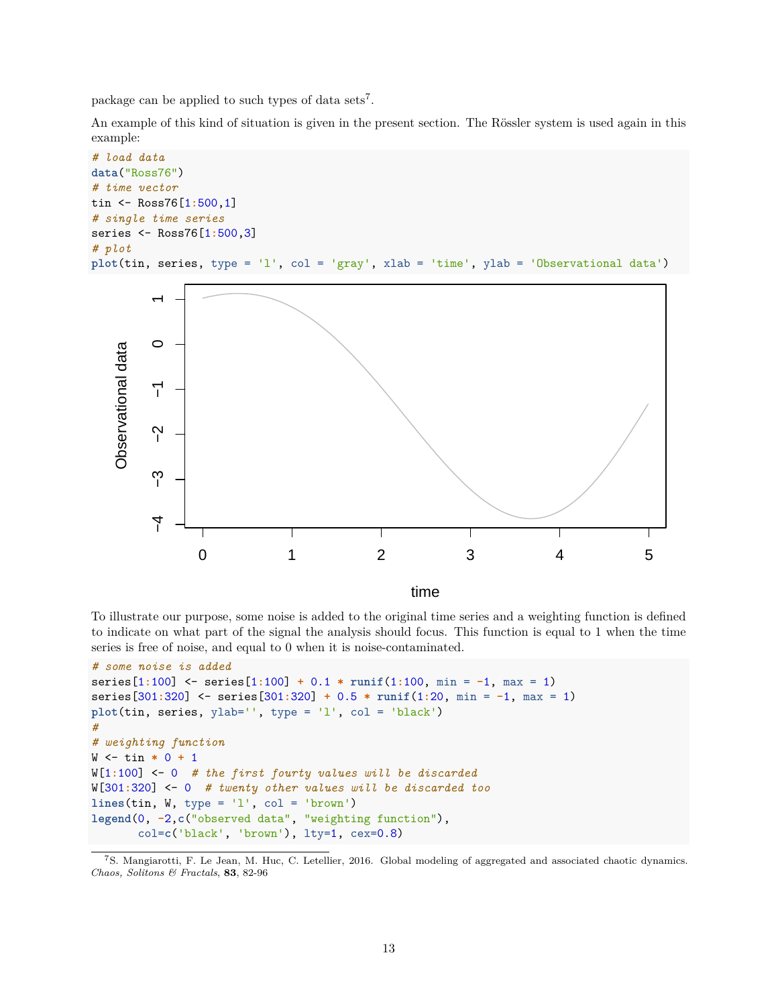package can be applied to such types of data sets<sup>[7](#page-12-0)</sup>.

An example of this kind of situation is given in the present section. The Rössler system is used again in this example:

```
# load data
data("Ross76")
# time vector
tin <- Ross76[1:500,1]
# single time series
series <- Ross76[1:500,3]
# plot
plot(tin, series, type = 'l', col = 'gray', xlab = 'time', ylab = 'Observational data')
```


#### time

To illustrate our purpose, some noise is added to the original time series and a weighting function is defined to indicate on what part of the signal the analysis should focus. This function is equal to 1 when the time series is free of noise, and equal to 0 when it is noise-contaminated.

```
# some noise is added
series[1:100] <- series[1:100] + 0.1 * runif(1:100, min = -1, max = 1)
series[301:320] <- series[301:320] + 0.5 * runif(1:20, min = -1, max = 1)
plot(tin, series, ylab='', type = 'l', col = 'black')
#
# weighting function
W <- tin * 0 + 1
W[1:100] <- 0 # the first fourty values will be discarded
W[301:320] <- 0 # twenty other values will be discarded too
lines(tin, W, type = 'l', col = 'brown')
legend(0, -2,c("observed data", "weighting function"),
       col=c('black', 'brown'), lty=1, cex=0.8)
```
<span id="page-12-0"></span><sup>7</sup>S. Mangiarotti, F. Le Jean, M. Huc, C. Letellier, 2016. Global modeling of aggregated and associated chaotic dynamics. *Chaos, Solitons & Fractals*, **83**, 82-96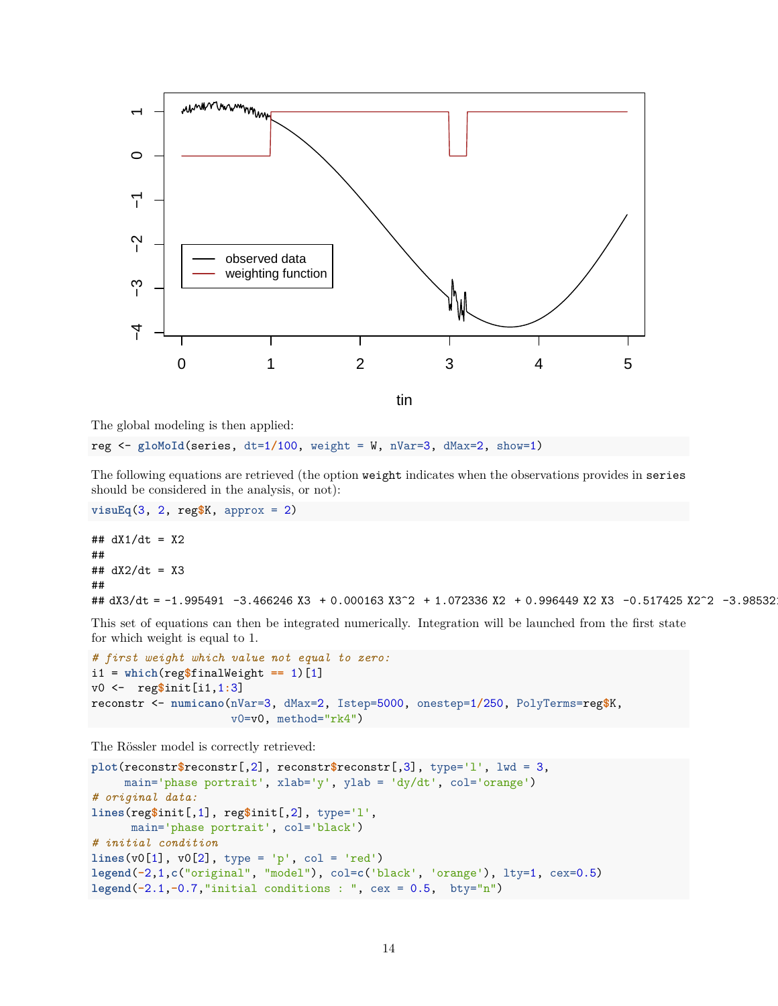

tin

The global modeling is then applied:

reg <- **gloMoId**(series, dt=1**/**100, weight = W, nVar=3, dMax=2, show=1)

The following equations are retrieved (the option weight indicates when the observations provides in series should be considered in the analysis, or not):

```
visuEq(3, 2, reg$K, approx = 2)
## dX1/dt = X2##
## dX2/dt = X3
##
## dX3/dt = -1.995491 -3.466246 X3 + 0.000163 X3^2 + 1.072336 X2 + 0.996449 X2 X3 -0.517425 X2^2 -3.98532
```
This set of equations can then be integrated numerically. Integration will be launched from the first state for which weight is equal to 1.

```
# first weight which value not equal to zero:
i1 = which(reg$finalWeight == 1)[1]
v0 <- reg$init[i1,1:3]
reconstr <- numicano(nVar=3, dMax=2, Istep=5000, onestep=1/250, PolyTerms=reg$K,
                     v0=v0, method="rk4")
```
The Rössler model is correctly retrieved:

```
plot(reconstr$reconstr[,2], reconstr$reconstr[,3], type='l', lwd = 3,
     main='phase portrait', xlab='y', ylab = 'dy/dt', col='orange')
# original data:
lines(reg$init[,1], reg$init[,2], type='l',
     main='phase portrait', col='black')
# initial condition
lines(v0[1], v0[2], type = 'p', col = 'red')
legend(-2,1,c("original", "model"), col=c('black', 'orange'), lty=1, cex=0.5)
legend(-2.1,-0.7,"initial conditions : ", cex = 0.5, bty="n")
```